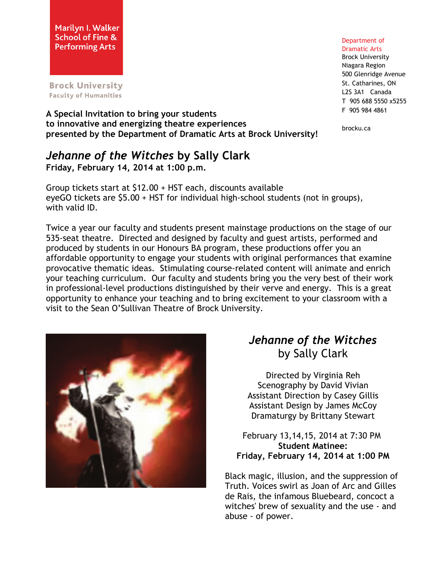**Brock University Faculty of Humanities** 

#### Department of Dramatic Arts

Brock University Niagara Region 500 Glenridge Avenue St. Catharines, ON L2S 3A1 Canada T 905 688 5550 x5255 F 905 984 4861

brocku.ca

### **A Special Invitation to bring your students to innovative and energizing theatre experiences presented by the Department of Dramatic Arts at Brock University!**

## *Jehanne of the Witches* **by Sally Clark Friday, February 14, 2014 at 1:00 p.m.**

Group tickets start at \$12.00 + HST each, discounts available eyeGO tickets are \$5.00 + HST for individual high-school students (not in groups), with valid ID.

Twice a year our faculty and students present mainstage productions on the stage of our 535-seat theatre. Directed and designed by faculty and guest artists, performed and produced by students in our Honours BA program, these productions offer you an affordable opportunity to engage your students with original performances that examine provocative thematic ideas. Stimulating course-related content will animate and enrich your teaching curriculum. Our faculty and students bring you the very best of their work in professional-level productions distinguished by their verve and energy. This is a great opportunity to enhance your teaching and to bring excitement to your classroom with a visit to the Sean O'Sullivan Theatre of Brock University.



# *Jehanne of the Witches* by Sally Clark

Directed by Virginia Reh Scenography by David Vivian Assistant Direction by Casey Gillis Assistant Design by James McCoy Dramaturgy by Brittany Stewart

February 13,14,15, 2014 at 7:30 PM **Student Matinee: Friday, February 14, 2014 at 1:00 PM**

Black magic, illusion, and the suppression of Truth. Voices swirl as Joan of Arc and Gilles de Rais, the infamous Bluebeard, concoct a witches' brew of sexuality and the use - and abuse - of power.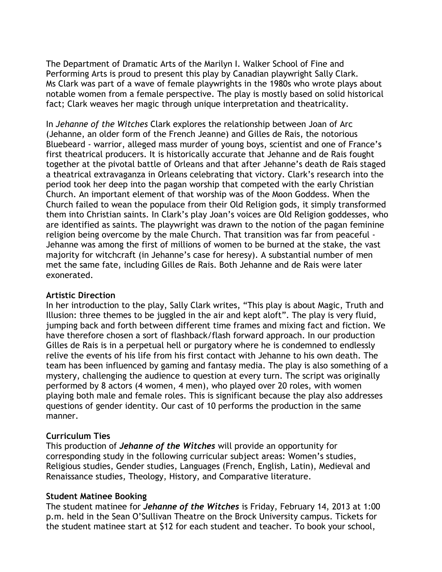The Department of Dramatic Arts of the Marilyn I. Walker School of Fine and Performing Arts is proud to present this play by Canadian playwright Sally Clark. Ms Clark was part of a wave of female playwrights in the 1980s who wrote plays about notable women from a female perspective. The play is mostly based on solid historical fact; Clark weaves her magic through unique interpretation and theatricality.

In *Jehanne of the Witches* Clark explores the relationship between Joan of Arc (Jehanne, an older form of the French Jeanne) and Gilles de Rais, the notorious Bluebeard - warrior, alleged mass murder of young boys, scientist and one of France's first theatrical producers. It is historically accurate that Jehanne and de Rais fought together at the pivotal battle of Orleans and that after Jehanne's death de Rais staged a theatrical extravaganza in Orleans celebrating that victory. Clark's research into the period took her deep into the pagan worship that competed with the early Christian Church. An important element of that worship was of the Moon Goddess. When the Church failed to wean the populace from their Old Religion gods, it simply transformed them into Christian saints. In Clark's play Joan's voices are Old Religion goddesses, who are identified as saints. The playwright was drawn to the notion of the pagan feminine religion being overcome by the male Church. That transition was far from peaceful - Jehanne was among the first of millions of women to be burned at the stake, the vast majority for witchcraft (in Jehanne's case for heresy). A substantial number of men met the same fate, including Gilles de Rais. Both Jehanne and de Rais were later exonerated.

#### **Artistic Direction**

In her introduction to the play, Sally Clark writes, "This play is about Magic, Truth and Illusion: three themes to be juggled in the air and kept aloft". The play is very fluid, jumping back and forth between different time frames and mixing fact and fiction. We have therefore chosen a sort of flashback/flash forward approach. In our production Gilles de Rais is in a perpetual hell or purgatory where he is condemned to endlessly relive the events of his life from his first contact with Jehanne to his own death. The team has been influenced by gaming and fantasy media. The play is also something of a mystery, challenging the audience to question at every turn. The script was originally performed by 8 actors (4 women, 4 men), who played over 20 roles, with women playing both male and female roles. This is significant because the play also addresses questions of gender identity. Our cast of 10 performs the production in the same manner.

#### **Curriculum Ties**

This production of *Jehanne of the Witches* will provide an opportunity for corresponding study in the following curricular subject areas: Women's studies, Religious studies, Gender studies, Languages (French, English, Latin), Medieval and Renaissance studies, Theology, History, and Comparative literature.

#### **Student Matinee Booking**

The student matinee for *Jehanne of the Witches* is Friday, February 14, 2013 at 1:00 p.m. held in the Sean O'Sullivan Theatre on the Brock University campus. Tickets for the student matinee start at \$12 for each student and teacher. To book your school,